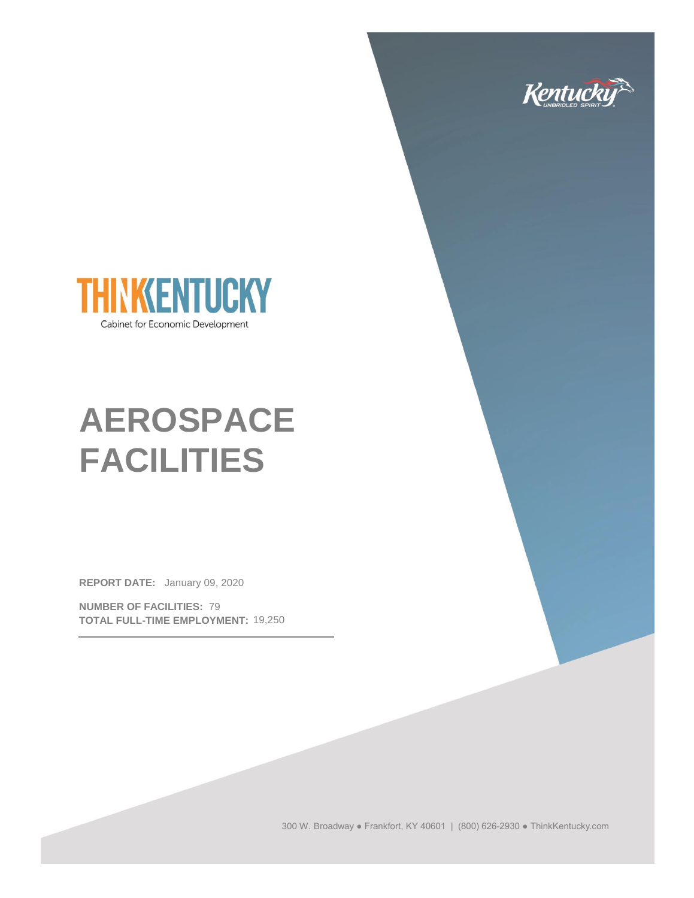



# **AEROSPACE FACILITIES**

**REPORT DATE:** January 09, 2020

**NUMBER OF FACILITIES:** 79 **TOTAL FULL-TIME EMPLOYMENT:** 19,250

300 W. Broadway ● Frankfort, KY 40601 | (800) 626-2930 ● ThinkKentucky.com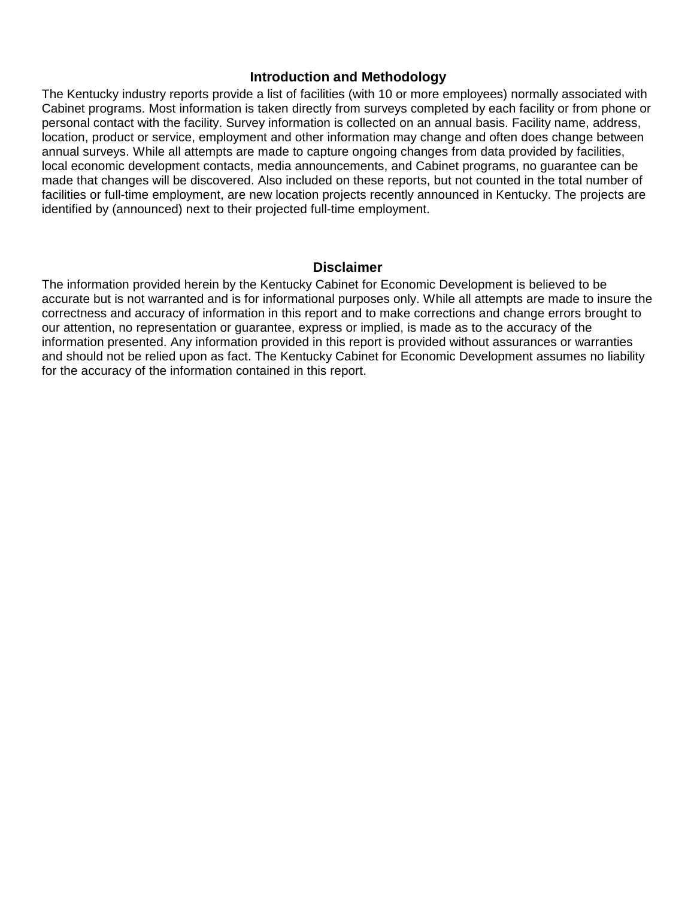## **Introduction and Methodology**

The Kentucky industry reports provide a list of facilities (with 10 or more employees) normally associated with Cabinet programs. Most information is taken directly from surveys completed by each facility or from phone or personal contact with the facility. Survey information is collected on an annual basis. Facility name, address, location, product or service, employment and other information may change and often does change between annual surveys. While all attempts are made to capture ongoing changes from data provided by facilities, local economic development contacts, media announcements, and Cabinet programs, no guarantee can be made that changes will be discovered. Also included on these reports, but not counted in the total number of facilities or full-time employment, are new location projects recently announced in Kentucky. The projects are identified by (announced) next to their projected full-time employment.

## **Disclaimer**

The information provided herein by the Kentucky Cabinet for Economic Development is believed to be accurate but is not warranted and is for informational purposes only. While all attempts are made to insure the correctness and accuracy of information in this report and to make corrections and change errors brought to our attention, no representation or guarantee, express or implied, is made as to the accuracy of the information presented. Any information provided in this report is provided without assurances or warranties and should not be relied upon as fact. The Kentucky Cabinet for Economic Development assumes no liability for the accuracy of the information contained in this report.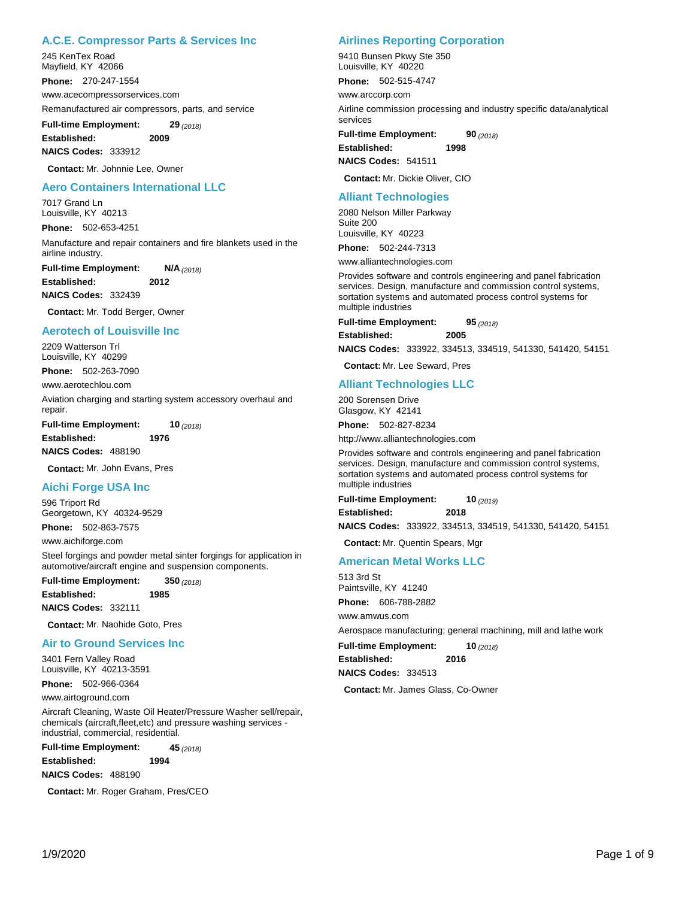## **A.C.E. Compressor Parts & Services Inc**

245 KenTex Road Mayfield, KY 42066

**Phone:** 270-247-1554 Remanufactured air compressors, parts, and service www.acecompressorservices.com

**2009 Full-time Employment:** 

**Established: NAICS Codes:** 333912

**Contact:** Mr. Johnnie Lee, Owner

## **Aero Containers International LLC**

7017 Grand Ln Louisville, KY 40213

**Phone:** 502-653-4251

Manufacture and repair containers and fire blankets used in the airline industry.

**29**

**N/A Full-time Employment:** 

**2012 Established: NAICS Codes:** 332439

**Contact:** Mr. Todd Berger, Owner

#### **Aerotech of Louisville Inc**

2209 Watterson Trl Louisville, KY 40299

**Phone:** 502-263-7090 www.aerotechlou.com

Aviation charging and starting system accessory overhaul and repair.

**Full-time Employment:** 

**1976 10**

**NAICS Codes:** 488190

**Established:**

**Contact:** Mr. John Evans, Pres

#### **Aichi Forge USA Inc**

596 Triport Rd Georgetown, KY 40324-9529

**Phone:** 502-863-7575

www.aichiforge.com

Steel forgings and powder metal sinter forgings for application in automotive/aircraft engine and suspension components.

**1985 350 Full-time Employment:** 

**Established:**

**NAICS Codes:** 332111

**Contact:** Mr. Naohide Goto, Pres

#### **Air to Ground Services Inc**

3401 Fern Valley Road Louisville, KY 40213-3591

**Phone:** 502-966-0364

www.airtoground.com

Aircraft Cleaning, Waste Oil Heater/Pressure Washer sell/repair, chemicals (aircraft,fleet,etc) and pressure washing services industrial, commercial, residential.

**1994**

**45 Full-time Employment:** *(2018)*

**Established:**

**NAICS Codes:** 488190

**Contact:** Mr. Roger Graham, Pres/CEO

## **Airlines Reporting Corporation**

9410 Bunsen Pkwy Ste 350 Louisville, KY 40220

**Phone:** 502-515-4747 www.arccorp.com

Airline commission processing and industry specific data/analytical services

**1998 90** (2018) **Established: Full-time Employment:** *(2018)*

**NAICS Codes:** 541511

**Contact:** Mr. Dickie Oliver, CIO

#### **Alliant Technologies**

2080 Nelson Miller Parkway Suite 200 Louisville, KY 40223

**Phone:** 502-244-7313

www.alliantechnologies.com

Provides software and controls engineering and panel fabrication services. Design, manufacture and commission control systems, sortation systems and automated process control systems for multiple industries

**95** (2018) **Full-time Employment:** *(2018)*

**2005**

**NAICS Codes:** 333922, 334513, 334519, 541330, 541420, 54151

**Contact:** Mr. Lee Seward, Pres

## **Alliant Technologies LLC**

200 Sorensen Drive Glasgow, KY 42141

**Established:**

**Phone:** 502-827-8234

http://www.alliantechnologies.com

Provides software and controls engineering and panel fabrication services. Design, manufacture and commission control systems, sortation systems and automated process control systems for multiple industries

**2018 10 Established: Full-time Employment:** 

**NAICS Codes:** 333922, 334513, 334519, 541330, 541420, 54151

**Contact:** Mr. Quentin Spears, Mgr

### **American Metal Works LLC**

513 3rd St Paintsville, KY 41240

**Phone:** 606-788-2882 www.amwus.com

Aerospace manufacturing; general machining, mill and lathe work

**2016 10 Established: Full-time Employment:** *(2018)*

**NAICS Codes:** 334513

**Contact:** Mr. James Glass, Co-Owner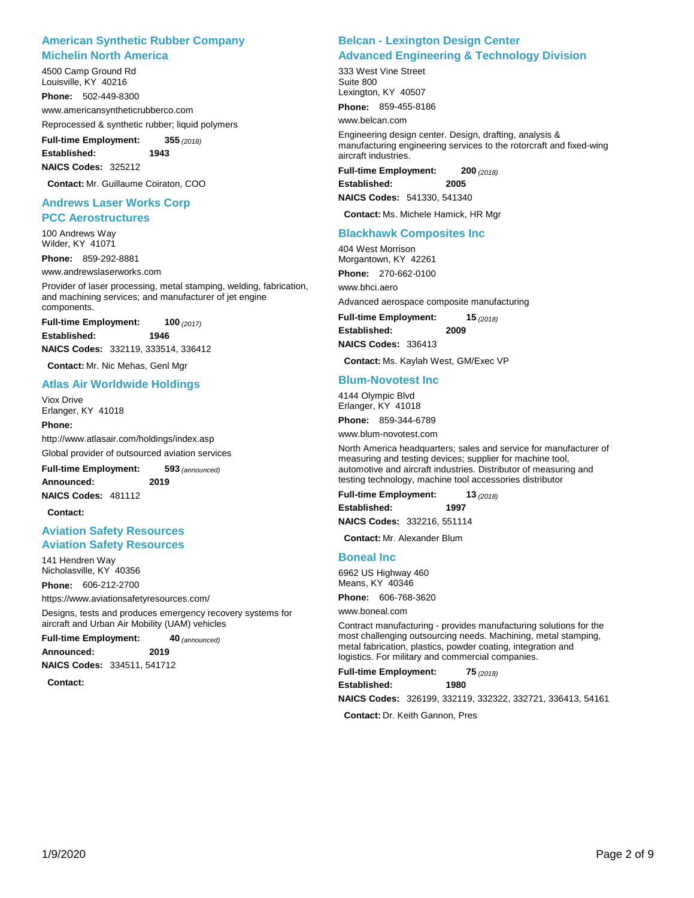## **American Synthetic Rubber Company Michelin North America**

4500 Camp Ground Rd Louisville, KY 40216 **Phone:** 502-449-8300 Reprocessed & synthetic rubber; liquid polymers www.americansyntheticrubberco.com

**Full-time Employment:** 

**355** (2018)

**1943 Established: NAICS Codes:** 325212

**Contact:** Mr. Guillaume Coiraton, COO

## **Andrews Laser Works Corp**

#### **PCC Aerostructures**

100 Andrews Way Wilder, KY 41071

**Phone:** 859-292-8881

www.andrewslaserworks.com

Provider of laser processing, metal stamping, welding, fabrication, and machining services; and manufacturer of jet engine components.

**100 Full-time Employment:** 

**1946 Established:**

**NAICS Codes:** 332119, 333514, 336412

**Contact:** Mr. Nic Mehas, Genl Mgr

### **Atlas Air Worldwide Holdings**

Viox Drive Erlanger, KY 41018

#### **Phone:**

http://www.atlasair.com/holdings/index.asp

Global provider of outsourced aviation services

**2019**

**593 Full-time Employment:** 

**Announced:**

**NAICS Codes:** 481112

**Contact:**

## **Aviation Safety Resources Aviation Safety Resources**

141 Hendren Way Nicholasville, KY 40356

**Phone:** 606-212-2700

https://www.aviationsafetyresources.com/

Designs, tests and produces emergency recovery systems for aircraft and Urban Air Mobility (UAM) vehicles

40 (announced) **Full-time Employment:** 

| Announced: | 2019 |
|------------|------|
|            |      |

**NAICS Codes:** 334511, 541712

**Contact:**

## **Belcan - Lexington Design Center Advanced Engineering & Technology Division**

333 West Vine Street Suite 800 Lexington, KY 40507

**Phone:** 859-455-8186

www.belcan.com

Engineering design center. Design, drafting, analysis & manufacturing engineering services to the rotorcraft and fixed-wing aircraft industries.

**2005 200 Established: Full-time Employment:** *(2018)* **NAICS Codes:** 541330, 541340

**Contact:** Ms. Michele Hamick, HR Mgr

## **Blackhawk Composites Inc**

404 West Morrison Morgantown, KY 42261 **Phone:** 270-662-0100

www.bhci.aero

Advanced aerospace composite manufacturing

**2009 15** (2018) **Established: Full-time Employment: NAICS Codes:** 336413

**Contact:** Ms. Kaylah West, GM/Exec VP

#### **Blum-Novotest Inc**

4144 Olympic Blvd Erlanger, KY 41018

**Phone:** 859-344-6789

www.blum-novotest.com

North America headquarters; sales and service for manufacturer of measuring and testing devices; supplier for machine tool, automotive and aircraft industries. Distributor of measuring and testing technology, machine tool accessories distributor

| <b>Full-time Employment:</b>       | 13 $(2018)$ |
|------------------------------------|-------------|
| Established:                       | 1997        |
| <b>NAICS Codes: 332216. 551114</b> |             |

**Contact:** Mr. Alexander Blum

#### **Boneal Inc**

6962 US Highway 460 Means, KY 40346

**Phone:** 606-768-3620

www.boneal.com

Contract manufacturing - provides manufacturing solutions for the most challenging outsourcing needs. Machining, metal stamping, metal fabrication, plastics, powder coating, integration and logistics. For military and commercial companies.

**75 Full-time Employment:** *(2018)*

**1980 Established:**

**NAICS Codes:** 326199, 332119, 332322, 332721, 336413, 54161

**Contact:** Dr. Keith Gannon, Pres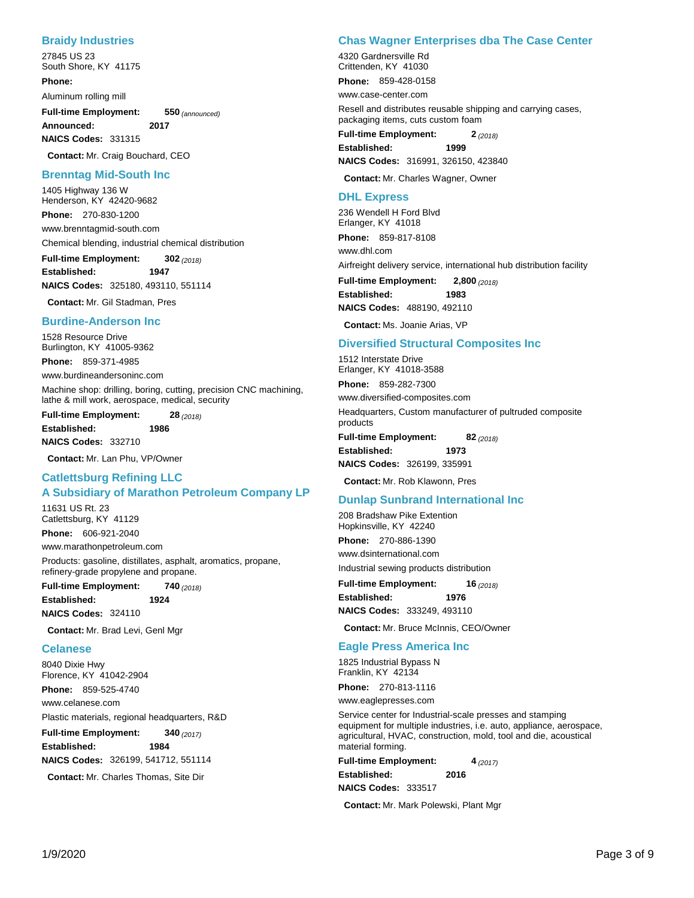## **Braidy Industries**

27845 US 23 South Shore, KY 41175 **Phone:**

Aluminum rolling mill

550 (announced) **Full-time Employment:** *(announced)*

**2017 Announced: NAICS Codes:** 331315

**Contact:** Mr. Craig Bouchard, CEO

## **Brenntag Mid-South Inc**

1405 Highway 136 W Henderson, KY 42420-9682

**Phone:** 270-830-1200 www.brenntagmid-south.com

Chemical blending, industrial chemical distribution

**302 Full-time Employment:** 

**1947 Established: NAICS Codes:** 325180, 493110, 551114

**Contact:** Mr. Gil Stadman, Pres

### **Burdine-Anderson Inc**

1528 Resource Drive Burlington, KY 41005-9362

**Phone:** 859-371-4985

www.burdineandersoninc.com

Machine shop: drilling, boring, cutting, precision CNC machining, lathe & mill work, aerospace, medical, security

**28 Full-time Employment:** 

**1986 Established: NAICS Codes:** 332710

**Contact:** Mr. Lan Phu, VP/Owner

## **Catlettsburg Refining LLC**

### **A Subsidiary of Marathon Petroleum Company LP**

11631 US Rt. 23 Catlettsburg, KY 41129 **Phone:** 606-921-2040

Products: gasoline, distillates, asphalt, aromatics, propane, www.marathonpetroleum.com

refinery-grade propylene and propane. **1924 740 Established: Full-time Employment:** 

**NAICS Codes:** 324110

**Contact:** Mr. Brad Levi, Genl Mgr

### **Celanese**

8040 Dixie Hwy Florence, KY 41042-2904 **Phone:** 859-525-4740 Plastic materials, regional headquarters, R&D **1984 340 Established: Full-time Employment:** www.celanese.com

**NAICS Codes:** 326199, 541712, 551114

**Contact:** Mr. Charles Thomas, Site Dir

## **Chas Wagner Enterprises dba The Case Center**

4320 Gardnersville Rd Crittenden, KY 41030

**Phone:** 859-428-0158

www.case-center.com

Resell and distributes reusable shipping and carrying cases, packaging items, cuts custom foam

**1999**  $2(2018)$ **Established: Full-time Employment: NAICS Codes:** 316991, 326150, 423840

**Contact:** Mr. Charles Wagner, Owner

## **DHL Express**

236 Wendell H Ford Blvd Erlanger, KY 41018

**Phone:** 859-817-8108

www.dhl.com

Airfreight delivery service, international hub distribution facility

**1983 2,800 Established: Full-time Employment:** *(2018)* **NAICS Codes:** 488190, 492110

**Contact:** Ms. Joanie Arias, VP

## **Diversified Structural Composites Inc**

1512 Interstate Drive Erlanger, KY 41018-3588 **Phone:** 859-282-7300

www.diversified-composites.com

Headquarters, Custom manufacturer of pultruded composite products

**1973 82 Established: Full-time Employment: NAICS Codes:** 326199, 335991

**Contact:** Mr. Rob Klawonn, Pres

## **Dunlap Sunbrand International Inc**

208 Bradshaw Pike Extention Hopkinsville, KY 42240 **Phone:** 270-886-1390 Industrial sewing products distribution www.dsinternational.com

**1976 16 Established: Full-time Employment: NAICS Codes:** 333249, 493110

**Contact:** Mr. Bruce McInnis, CEO/Owner

### **Eagle Press America Inc**

1825 Industrial Bypass N Franklin, KY 42134

**Phone:** 270-813-1116 www.eaglepresses.com

Service center for Industrial-scale presses and stamping equipment for multiple industries, i.e. auto, appliance, aerospace, agricultural, HVAC, construction, mold, tool and die, acoustical material forming.

| <b>Full-time Employment:</b> |      | 4(2017) |
|------------------------------|------|---------|
| Established:                 | 2016 |         |
| <b>NAICS Codes: 333517</b>   |      |         |

**Contact:** Mr. Mark Polewski, Plant Mgr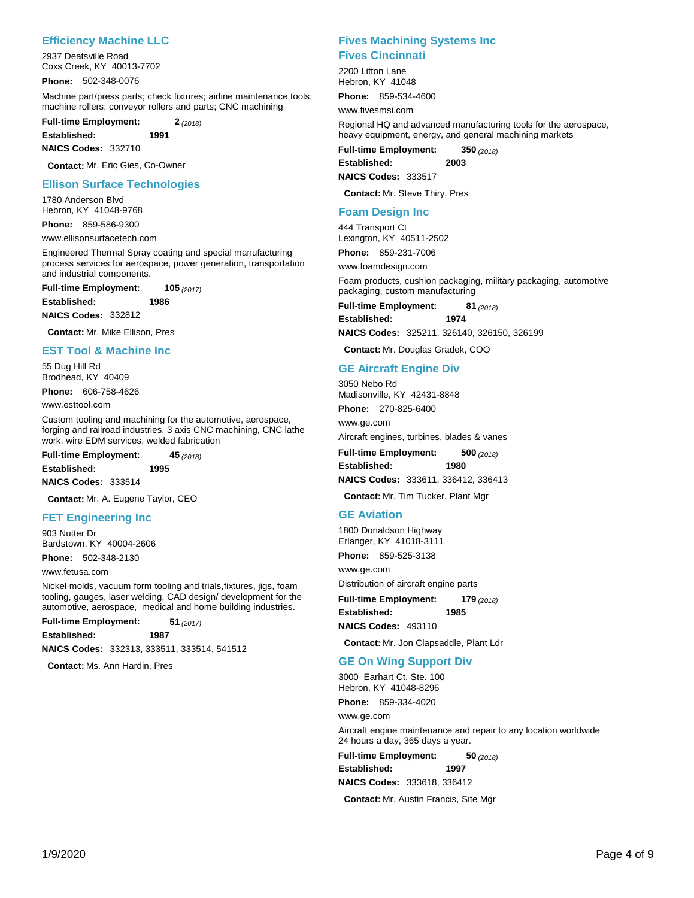## **Efficiency Machine LLC**

2937 Deatsville Road Coxs Creek, KY 40013-7702

**Phone:** 502-348-0076

Machine part/press parts; check fixtures; airline maintenance tools; machine rollers; conveyor rollers and parts; CNC machining

**2**

**1991 Established: Full-time Employment:** 

**NAICS Codes:** 332710

**Contact:** Mr. Eric Gies, Co-Owner

#### **Ellison Surface Technologies**

1780 Anderson Blvd Hebron, KY 41048-9768

**Phone:** 859-586-9300

www.ellisonsurfacetech.com

Engineered Thermal Spray coating and special manufacturing process services for aerospace, power generation, transportation and industrial components.

**105 Full-time Employment:** 

**1986 Established:**

**NAICS Codes:** 332812

**Contact:** Mr. Mike Ellison, Pres

#### **EST Tool & Machine Inc**

55 Dug Hill Rd Brodhead, KY 40409

**Phone:** 606-758-4626

www.esttool.com

Custom tooling and machining for the automotive, aerospace, forging and railroad industries. 3 axis CNC machining, CNC lathe work, wire EDM services, welded fabrication

**45 Full-time Employment:** 

**1995 Established:**

**NAICS Codes:** 333514

**Contact:** Mr. A. Eugene Taylor, CEO

### **FET Engineering Inc**

903 Nutter Dr Bardstown, KY 40004-2606

**Phone:** 502-348-2130

www.fetusa.com

Nickel molds, vacuum form tooling and trials,fixtures, jigs, foam tooling, gauges, laser welding, CAD design/ development for the automotive, aerospace, medical and home building industries.

**51 Full-time Employment:** 

**1987 Established: NAICS Codes:** 332313, 333511, 333514, 541512

**Contact:** Ms. Ann Hardin, Pres

## **Fives Machining Systems Inc Fives Cincinnati**

2200 Litton Lane Hebron, KY 41048

**Phone:** 859-534-4600

www.fivesmsi.com

Regional HQ and advanced manufacturing tools for the aerospace, heavy equipment, energy, and general machining markets

**2003 350 Established: Full-time Employment:** *(2018)*

**NAICS Codes:** 333517

**Contact:** Mr. Steve Thiry, Pres

#### **Foam Design Inc**

444 Transport Ct Lexington, KY 40511-2502

**Phone:** 859-231-7006

www.foamdesign.com

Foam products, cushion packaging, military packaging, automotive packaging, custom manufacturing

**1974 81 Established: Full-time Employment:** *(2018)*

**NAICS Codes:** 325211, 326140, 326150, 326199

**Contact:** Mr. Douglas Gradek, COO

### **GE Aircraft Engine Div**

3050 Nebo Rd Madisonville, KY 42431-8848 **Phone:** 270-825-6400 Aircraft engines, turbines, blades & vanes **1980 500 Established: Full-time Employment: NAICS Codes:** 333611, 336412, 336413 www.ge.com

**Contact:** Mr. Tim Tucker, Plant Mgr

### **GE Aviation**

1800 Donaldson Highway Erlanger, KY 41018-3111

**Phone:** 859-525-3138

www.ge.com

Distribution of aircraft engine parts

**1985 179 Established: Full-time Employment:** *(2018)*

**NAICS Codes:** 493110

**Contact:** Mr. Jon Clapsaddle, Plant Ldr

### **GE On Wing Support Div**

3000 Earhart Ct. Ste. 100 Hebron, KY 41048-8296

**Phone:** 859-334-4020

www.ge.com

Aircraft engine maintenance and repair to any location worldwide 24 hours a day, 365 days a year.

**1997** 50  $(2018)$ **Established: Full-time Employment: NAICS Codes:** 333618, 336412

**Contact:** Mr. Austin Francis, Site Mgr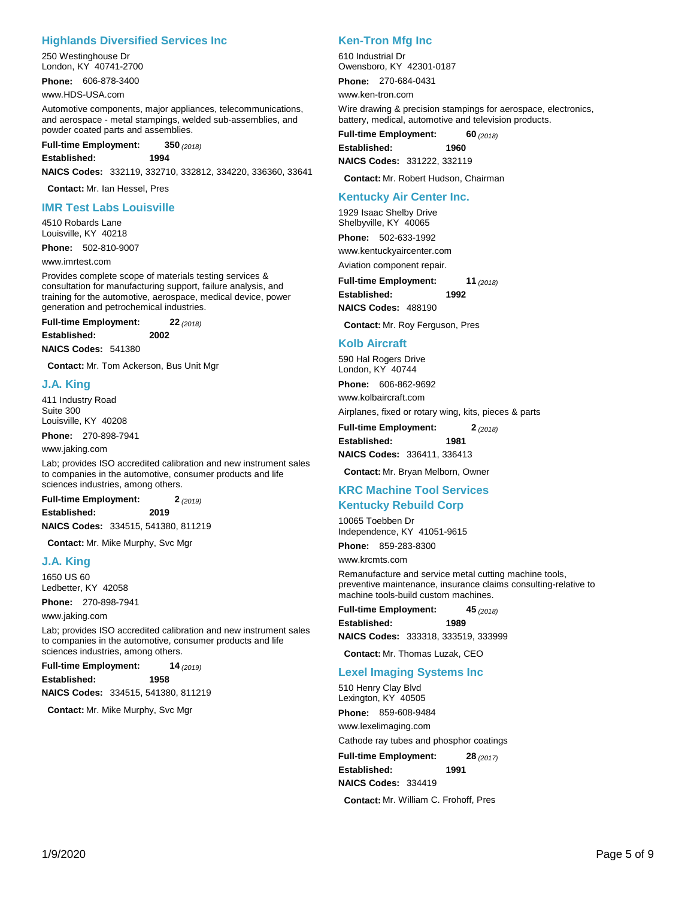## **Highlands Diversified Services Inc**

250 Westinghouse Dr London, KY 40741-2700

**Phone:** 606-878-3400

www.HDS-USA.com

Automotive components, major appliances, telecommunications, and aerospace - metal stampings, welded sub-assemblies, and powder coated parts and assemblies.

#### **350 Full-time Employment:**

**1994 Established:**

**NAICS Codes:** 332119, 332710, 332812, 334220, 336360, 33641

**Contact:** Mr. Ian Hessel, Pres

#### **IMR Test Labs Louisville**

4510 Robards Lane Louisville, KY 40218

**Phone:** 502-810-9007

www.imrtest.com

Provides complete scope of materials testing services & consultation for manufacturing support, failure analysis, and training for the automotive, aerospace, medical device, power generation and petrochemical industries.

**22 Full-time Employment:** 

**2002 Established:**

**NAICS Codes:** 541380

**Contact:** Mr. Tom Ackerson, Bus Unit Mgr

#### **J.A. King**

411 Industry Road Suite 300 Louisville, KY 40208

**Phone:** 270-898-7941

www.jaking.com

Lab; provides ISO accredited calibration and new instrument sales to companies in the automotive, consumer products and life sciences industries, among others.

**2 Established: Full-time Employment:** 

**2019**

**NAICS Codes:** 334515, 541380, 811219

**Contact:** Mr. Mike Murphy, Svc Mgr

#### **J.A. King**

1650 US 60 Ledbetter, KY 42058

**Phone:** 270-898-7941

www.jaking.com

Lab; provides ISO accredited calibration and new instrument sales to companies in the automotive, consumer products and life sciences industries, among others.

| <b>Full-time Employment:</b> | <b>14</b> (2019) |
|------------------------------|------------------|
|------------------------------|------------------|

**NAICS Codes:** 334515, 541380, 811219

**Contact:** Mr. Mike Murphy, Svc Mgr

## **Ken-Tron Mfg Inc**

610 Industrial Dr Owensboro, KY 42301-0187 **Phone:** 270-684-0431

www.ken-tron.com

Wire drawing & precision stampings for aerospace, electronics, battery, medical, automotive and television products.

| <b>Full-time Employment:</b> | 60 $(2018)$                        |
|------------------------------|------------------------------------|
| Established:                 | 1960                               |
|                              | <b>NAICS Codes: 331222, 332119</b> |

**Contact:** Mr. Robert Hudson, Chairman

#### **Kentucky Air Center Inc.**

1929 Isaac Shelby Drive Shelbyville, KY 40065 **Phone:** 502-633-1992

www.kentuckyaircenter.com

Aviation component repair.

**1992 11 Established: Full-time Employment:** *(2018)* **NAICS Codes:** 488190

**Contact:** Mr. Roy Ferguson, Pres

#### **Kolb Aircraft**

590 Hal Rogers Drive

London, KY 40744 **Phone:** 606-862-9692

www.kolbaircraft.com

Airplanes, fixed or rotary wing, kits, pieces & parts

**1981 2 Established: Full-time Employment:** *(2018)* **NAICS Codes:** 336411, 336413

**Contact:** Mr. Bryan Melborn, Owner

## **KRC Machine Tool Services**

## **Kentucky Rebuild Corp**

10065 Toebben Dr Independence, KY 41051-9615

**Phone:** 859-283-8300

www.krcmts.com

Remanufacture and service metal cutting machine tools, preventive maintenance, insurance claims consulting-relative to machine tools-build custom machines.

| <b>Full-time Employment:</b> |          | 45 (2018) |
|------------------------------|----------|-----------|
| Established:                 | 1989     |           |
|                              | $\cdots$ | -----     |

**NAICS Codes:** 333318, 333519, 333999

**Contact:** Mr. Thomas Luzak, CEO

#### **Lexel Imaging Systems Inc**

510 Henry Clay Blvd Lexington, KY 40505 **Phone:** 859-608-9484 Cathode ray tubes and phosphor coatings **1991 28 Established: Full-time Employment: NAICS Codes:** 334419 www.lexelimaging.com

**Contact:** Mr. William C. Frohoff, Pres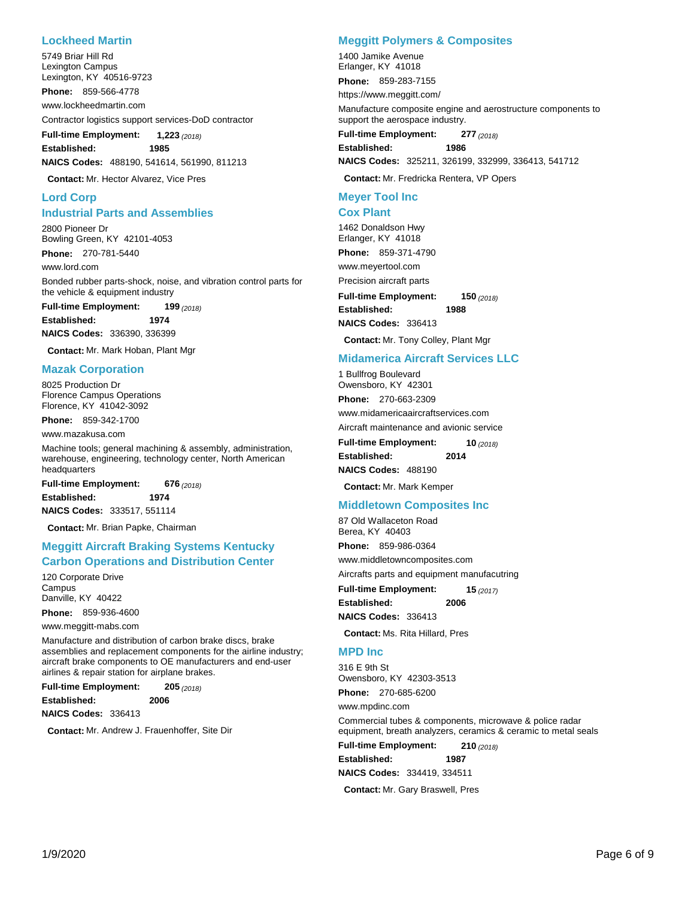## **Lockheed Martin**

5749 Briar Hill Rd Lexington Campus Lexington, KY 40516-9723

**Phone:** 859-566-4778 www.lockheedmartin.com

Contractor logistics support services-DoD contractor

**1985 1,223 Established: Full-time Employment:** 

**NAICS Codes:** 488190, 541614, 561990, 811213

**Contact:** Mr. Hector Alvarez, Vice Pres

## **Lord Corp**

## **Industrial Parts and Assemblies**

2800 Pioneer Dr Bowling Green, KY 42101-4053

**Phone:** 270-781-5440

www.lord.com

Bonded rubber parts-shock, noise, and vibration control parts for the vehicle & equipment industry

**199 Full-time Employment:** 

**1974 Established:**

**NAICS Codes:** 336390, 336399

**Contact:** Mr. Mark Hoban, Plant Mgr

## **Mazak Corporation**

8025 Production Dr Florence Campus Operations Florence, KY 41042-3092

**Phone:** 859-342-1700

www.mazakusa.com

Machine tools; general machining & assembly, administration, warehouse, engineering, technology center, North American headquarters

**1974 676 Established: Full-time Employment:** 

**NAICS Codes:** 333517, 551114

**Contact:** Mr. Brian Papke, Chairman

## **Meggitt Aircraft Braking Systems Kentucky Carbon Operations and Distribution Center**

120 Corporate Drive **Campus** Danville, KY 40422

**Phone:** 859-936-4600

www.meggitt-mabs.com

Manufacture and distribution of carbon brake discs, brake assemblies and replacement components for the airline industry; aircraft brake components to OE manufacturers and end-user airlines & repair station for airplane brakes.

**2006 205 Full-time Employment:** *(2018)*

**Established: NAICS Codes:** 336413

**Contact:** Mr. Andrew J. Frauenhoffer, Site Dir

## **Meggitt Polymers & Composites**

1400 Jamike Avenue Erlanger, KY 41018

**Phone:** 859-283-7155

https://www.meggitt.com/

Manufacture composite engine and aerostructure components to support the aerospace industry.

**1986 277 Established: Full-time Employment:** 

**NAICS Codes:** 325211, 326199, 332999, 336413, 541712

**Contact:** Mr. Fredricka Rentera, VP Opers

## **Meyer Tool Inc**

**Cox Plant**

1462 Donaldson Hwy Erlanger, KY 41018 **Phone:** 859-371-4790

www.meyertool.com

Precision aircraft parts

**1988 150 Established: Full-time Employment:** *(2018)* **NAICS Codes:** 336413

**Contact:** Mr. Tony Colley, Plant Mgr

## **Midamerica Aircraft Services LLC**

1 Bullfrog Boulevard Owensboro, KY 42301

**Phone:** 270-663-2309 www.midamericaaircraftservices.com

Aircraft maintenance and avionic service

| <b>Full-time Employment:</b> | 10 $(2018)$ |
|------------------------------|-------------|
| Established:                 | 2014        |
| <b>NAICS Codes: 488190</b>   |             |

**Contact:** Mr. Mark Kemper

### **Middletown Composites Inc**

87 Old Wallaceton Road Berea, KY 40403

**Phone:** 859-986-0364 www.middletowncomposites.com

Aircrafts parts and equipment manufacutring

**2006 15 Established: Full-time Employment: NAICS Codes:** 336413

**Contact:** Ms. Rita Hillard, Pres

## **MPD Inc**

316 E 9th St Owensboro, KY 42303-3513 **Phone:** 270-685-6200 Commercial tubes & components, microwave & police radar equipment, breath analyzers, ceramics & ceramic to metal seals **210 Full-time Employment:** *(2018)* www.mpdinc.com

**1987 Established: NAICS Codes:** 334419, 334511

**Contact:** Mr. Gary Braswell, Pres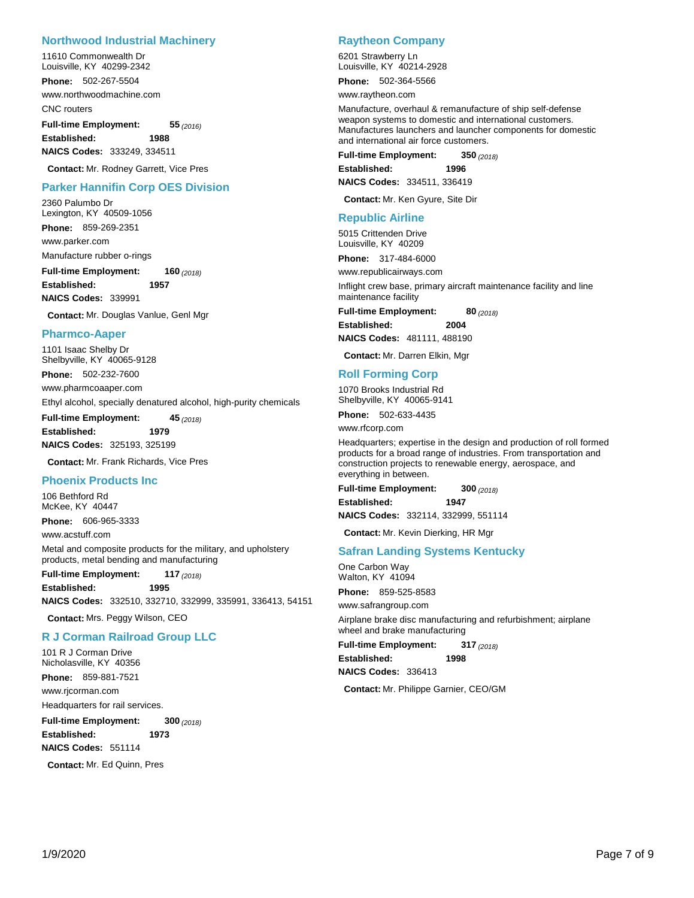## **Northwood Industrial Machinery**

11610 Commonwealth Dr Louisville, KY 40299-2342

**Phone:** 502-267-5504 www.northwoodmachine.com

CNC routers

**Full-time Employment:** 

**1988 Established: NAICS Codes: 333249, 334511** 

**Contact:** Mr. Rodney Garrett, Vice Pres

## **Parker Hannifin Corp OES Division**

**55**

2360 Palumbo Dr Lexington, KY 40509-1056 **Phone:** 859-269-2351 Manufacture rubber o-rings **1957 160 Established: Full-time Employment: NAICS Codes:** 339991 www.parker.com

**Contact:** Mr. Douglas Vanlue, Genl Mgr

### **Pharmco-Aaper**

1101 Isaac Shelby Dr Shelbyville, KY 40065-9128 **Phone:** 502-232-7600 Ethyl alcohol, specially denatured alcohol, high-purity chemicals **45 Full-time Employment:** www.pharmcoaaper.com

**1979 Established: NAICS Codes:** 325193, 325199

**Contact:** Mr. Frank Richards, Vice Pres

### **Phoenix Products Inc**

106 Bethford Rd McKee, KY 40447 **Phone:** 606-965-3333 www.acstuff.com

**Established:**

Metal and composite products for the military, and upholstery products, metal bending and manufacturing

**117 Full-time Employment:** 

**1995**

**NAICS Codes:** 332510, 332710, 332999, 335991, 336413, 54151

**Contact:** Mrs. Peggy Wilson, CEO

#### **R J Corman Railroad Group LLC**

101 R J Corman Drive Nicholasville, KY 40356 **Phone:** 859-881-7521 Headquarters for rail services. **Full-time Employment:** www.rjcorman.com

**1973 300 Established:**

**NAICS Codes:** 551114

**Contact:** Mr. Ed Quinn, Pres

## **Raytheon Company**

6201 Strawberry Ln Louisville, KY 40214-2928

**Phone:** 502-364-5566

www.raytheon.com

Manufacture, overhaul & remanufacture of ship self-defense weapon systems to domestic and international customers. Manufactures launchers and launcher components for domestic and international air force customers.

**1996 350 Established: Full-time Employment:** *(2018)* **NAICS Codes:** 334511, 336419

**Contact:** Mr. Ken Gyure, Site Dir

## **Republic Airline**

5015 Crittenden Drive Louisville, KY 40209

**Phone:** 317-484-6000

www.republicairways.com

Inflight crew base, primary aircraft maintenance facility and line maintenance facility

**2004 80 Established: Full-time Employment: NAICS Codes:** 481111, 488190

**Contact:** Mr. Darren Elkin, Mgr

## **Roll Forming Corp**

1070 Brooks Industrial Rd Shelbyville, KY 40065-9141

**Phone:** 502-633-4435

www.rfcorp.com

Headquarters; expertise in the design and production of roll formed products for a broad range of industries. From transportation and construction projects to renewable energy, aerospace, and everything in between.

**1947 300 Established: Full-time Employment:** *(2018)* **NAICS Codes:** 332114, 332999, 551114

**Contact:** Mr. Kevin Dierking, HR Mgr

### **Safran Landing Systems Kentucky**

One Carbon Way Walton, KY 41094

**Phone:** 859-525-8583

www.safrangroup.com

Airplane brake disc manufacturing and refurbishment; airplane wheel and brake manufacturing

**1998 317 Established: Full-time Employment:** *(2018)*

**NAICS Codes:** 336413

**Contact:** Mr. Philippe Garnier, CEO/GM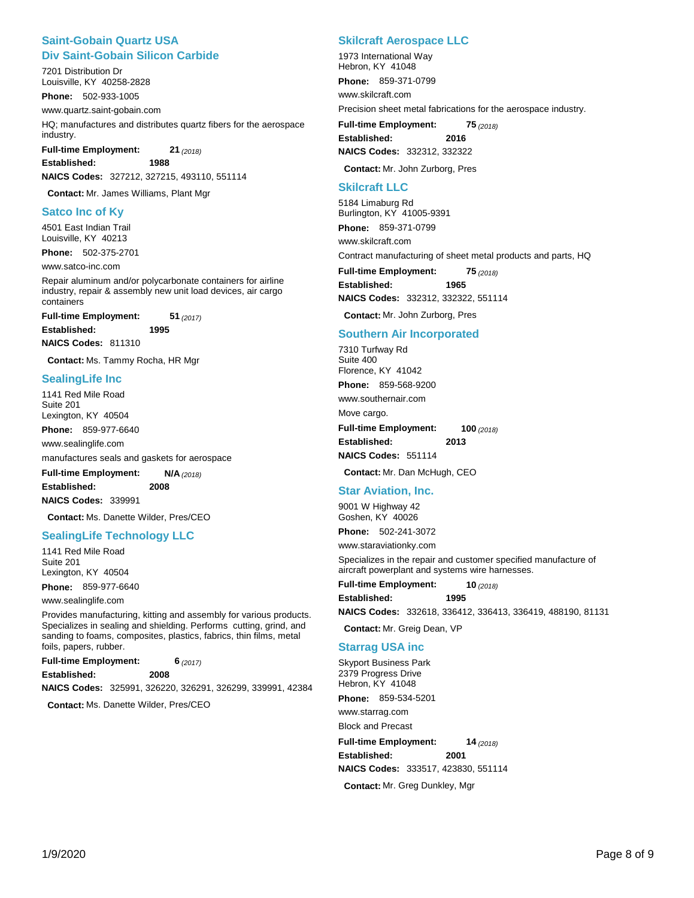## **Saint-Gobain Quartz USA Div Saint-Gobain Silicon Carbide**

7201 Distribution Dr Louisville, KY 40258-2828

**Phone:** 502-933-1005

www.quartz.saint-gobain.com

HQ; manufactures and distributes quartz fibers for the aerospace industry.

**21 Full-time Employment:** 

**Established:**

**1988**

**NAICS Codes:** 327212, 327215, 493110, 551114

**Contact:** Mr. James Williams, Plant Mgr

## **Satco Inc of Ky**

4501 East Indian Trail Louisville, KY 40213

**Phone:** 502-375-2701

www.satco-inc.com

Repair aluminum and/or polycarbonate containers for airline industry, repair & assembly new unit load devices, air cargo containers

**1995**

**51 Full-time Employment:** 

**Established:**

**NAICS Codes:** 811310

**Contact:** Ms. Tammy Rocha, HR Mgr

## **SealingLife Inc**

1141 Red Mile Road Suite 201

Lexington, KY 40504 **Phone:** 859-977-6640

www.sealinglife.com

manufactures seals and gaskets for aerospace

**N/A Full-time Employment:** *(2018)*

**2008 Established: NAICS Codes:** 339991

**Contact:** Ms. Danette Wilder, Pres/CEO

## **SealingLife Technology LLC**

1141 Red Mile Road Suite 201 Lexington, KY 40504

**Phone:** 859-977-6640

www.sealinglife.com

Provides manufacturing, kitting and assembly for various products. Specializes in sealing and shielding. Performs cutting, grind, and sanding to foams, composites, plastics, fabrics, thin films, metal foils, papers, rubber.

**6** (2017) **Full-time Employment:** 

**2008 Established:**

**NAICS Codes:** 325991, 326220, 326291, 326299, 339991, 42384

**Contact:** Ms. Danette Wilder, Pres/CEO

## **Skilcraft Aerospace LLC**

1973 International Way Hebron, KY 41048 **Phone:** 859-371-0799

www.skilcraft.com

Precision sheet metal fabrications for the aerospace industry.

**2016 75 Established: Full-time Employment:** *(2018)* **NAICS Codes:** 332312, 332322

**Contact:** Mr. John Zurborg, Pres

## **Skilcraft LLC**

5184 Limaburg Rd Burlington, KY 41005-9391 **Phone:** 859-371-0799 Contract manufacturing of sheet metal products and parts, HQ **75 Full-time Employment:** *(2018)* www.skilcraft.com

**1965 Established: NAICS Codes:** 332312, 332322, 551114

### **Contact:** Mr. John Zurborg, Pres

### **Southern Air Incorporated**

7310 Turfway Rd Suite 400 Florence, KY 41042 **Phone:** 859-568-9200 Move cargo. **2013 100 Established: Full-time Employment:** www.southernair.com

**NAICS Codes:** 551114

**Contact:** Mr. Dan McHugh, CEO

## **Star Aviation, Inc.**

9001 W Highway 42 Goshen, KY 40026 **Phone:** 502-241-3072

www.staraviationky.com

Specializes in the repair and customer specified manufacture of aircraft powerplant and systems wire harnesses.

**1995 10 Established: Full-time Employment:** *(2018)*

**NAICS Codes:** 332618, 336412, 336413, 336419, 488190, 81131

**Contact:** Mr. Greig Dean, VP

## **Starrag USA inc**

Skyport Business Park 2379 Progress Drive Hebron, KY 41048 **Phone:** 859-534-5201 Block and Precast **2001 14 Established: Full-time Employment:** *(2018)* **NAICS Codes:** 333517, 423830, 551114 www.starrag.com

**Contact:** Mr. Greg Dunkley, Mgr